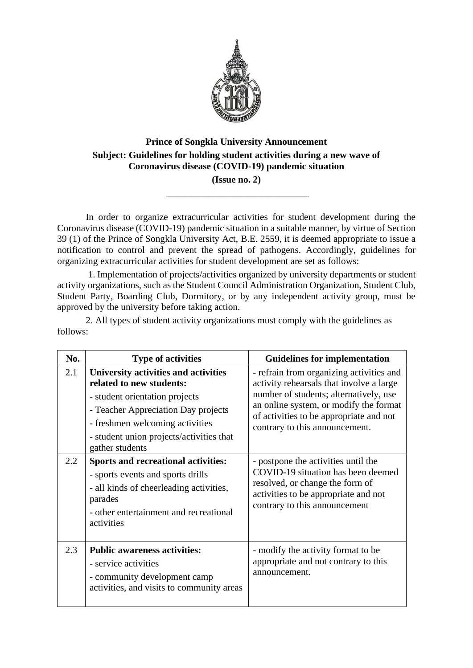

## **Prince of Songkla University Announcement Subject: Guidelines for holding student activities during a new wave of Coronavirus disease (COVID-19) pandemic situation (Issue no. 2)**

\_\_\_\_\_\_\_\_\_\_\_\_\_\_\_\_\_\_\_\_\_\_\_\_\_\_\_\_\_\_

In order to organize extracurricular activities for student development during the Coronavirus disease (COVID-19) pandemic situation in a suitable manner, by virtue of Section 39 (1) of the Prince of Songkla University Act, B.E. 2559, it is deemed appropriate to issue a notification to control and prevent the spread of pathogens. Accordingly, guidelines for organizing extracurricular activities for student development are set as follows:

1. Implementation of projects/activities organized by university departments or student activity organizations, such as the Student Council Administration Organization, Student Club, Student Party, Boarding Club, Dormitory, or by any independent activity group, must be approved by the university before taking action.

2. All types of student activity organizations must comply with the guidelines as follows:

| No. | <b>Type of activities</b>                                                                                                                                                                                                                   | <b>Guidelines for implementation</b>                                                                                                                                                                                                                  |
|-----|---------------------------------------------------------------------------------------------------------------------------------------------------------------------------------------------------------------------------------------------|-------------------------------------------------------------------------------------------------------------------------------------------------------------------------------------------------------------------------------------------------------|
| 2.1 | University activities and activities<br>related to new students:<br>- student orientation projects<br>- Teacher Appreciation Day projects<br>- freshmen welcoming activities<br>- student union projects/activities that<br>gather students | - refrain from organizing activities and<br>activity rehearsals that involve a large<br>number of students; alternatively, use<br>an online system, or modify the format<br>of activities to be appropriate and not<br>contrary to this announcement. |
| 2.2 | <b>Sports and recreational activities:</b><br>- sports events and sports drills<br>- all kinds of cheerleading activities,<br>parades<br>- other entertainment and recreational<br>activities                                               | - postpone the activities until the<br>COVID-19 situation has been deemed<br>resolved, or change the form of<br>activities to be appropriate and not<br>contrary to this announcement                                                                 |
| 2.3 | <b>Public awareness activities:</b><br>- service activities<br>- community development camp<br>activities, and visits to community areas                                                                                                    | - modify the activity format to be<br>appropriate and not contrary to this<br>announcement.                                                                                                                                                           |